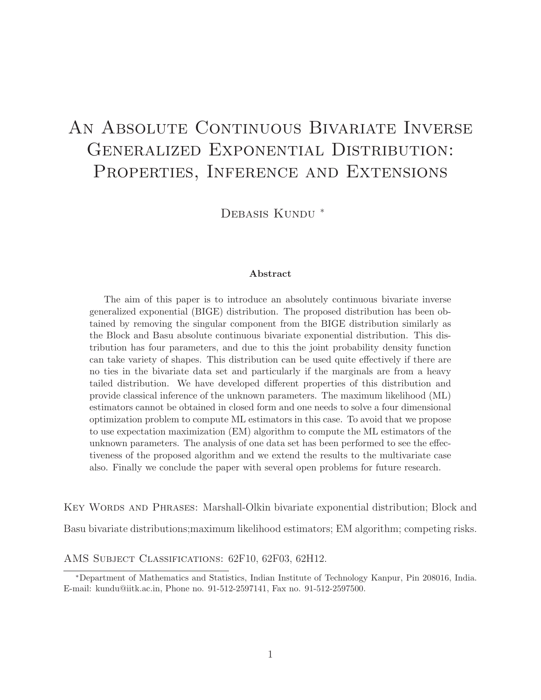# AN ABSOLUTE CONTINUOUS BIVARIATE INVERSE Generalized Exponential Distribution: PROPERTIES, INFERENCE AND EXTENSIONS

DEBASIS KUNDU<sup>\*</sup>

#### Abstract

The aim of this paper is to introduce an absolutely continuous bivariate inverse generalized exponential (BIGE) distribution. The proposed distribution has been obtained by removing the singular component from the BIGE distribution similarly as the Block and Basu absolute continuous bivariate exponential distribution. This distribution has four parameters, and due to this the joint probability density function can take variety of shapes. This distribution can be used quite effectively if there are no ties in the bivariate data set and particularly if the marginals are from a heavy tailed distribution. We have developed different properties of this distribution and provide classical inference of the unknown parameters. The maximum likelihood (ML) estimators cannot be obtained in closed form and one needs to solve a four dimensional optimization problem to compute ML estimators in this case. To avoid that we propose to use expectation maximization (EM) algorithm to compute the ML estimators of the unknown parameters. The analysis of one data set has been performed to see the effectiveness of the proposed algorithm and we extend the results to the multivariate case also. Finally we conclude the paper with several open problems for future research.

Key Words and Phrases: Marshall-Olkin bivariate exponential distribution; Block and

Basu bivariate distributions;maximum likelihood estimators; EM algorithm; competing risks.

AMS Subject Classifications: 62F10, 62F03, 62H12.

<sup>∗</sup>Department of Mathematics and Statistics, Indian Institute of Technology Kanpur, Pin 208016, India. E-mail: kundu@iitk.ac.in, Phone no. 91-512-2597141, Fax no. 91-512-2597500.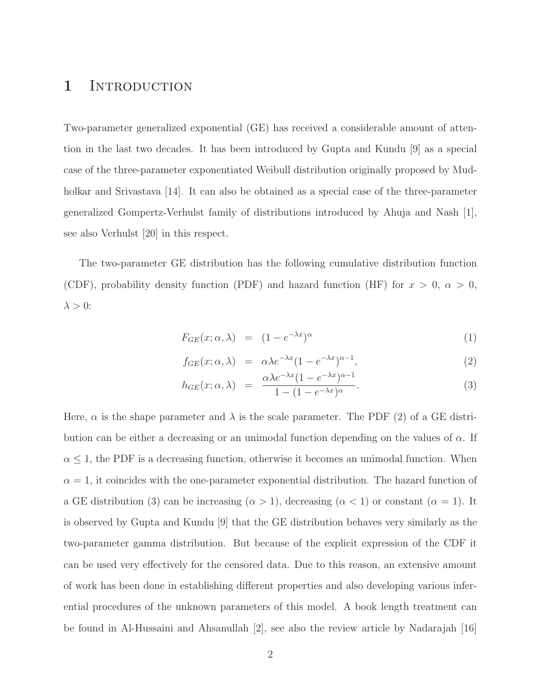### 1 INTRODUCTION

Two-parameter generalized exponential (GE) has received a considerable amount of attention in the last two decades. It has been introduced by Gupta and Kundu [9] as a special case of the three-parameter exponentiated Weibull distribution originally proposed by Mudholkar and Srivastava [14]. It can also be obtained as a special case of the three-parameter generalized Gompertz-Verhulst family of distributions introduced by Ahuja and Nash [1], see also Verhulst [20] in this respect.

The two-parameter GE distribution has the following cumulative distribution function (CDF), probability density function (PDF) and hazard function (HF) for  $x > 0$ ,  $\alpha > 0$ ,  $\lambda > 0$ :

$$
F_{GE}(x; \alpha, \lambda) = (1 - e^{-\lambda x})^{\alpha} \tag{1}
$$

$$
f_{GE}(x; \alpha, \lambda) = \alpha \lambda e^{-\lambda x} (1 - e^{-\lambda x})^{\alpha - 1}, \qquad (2)
$$

$$
h_{GE}(x; \alpha, \lambda) = \frac{\alpha \lambda e^{-\lambda x} (1 - e^{-\lambda x})^{\alpha - 1}}{1 - (1 - e^{-\lambda x})^{\alpha}}.
$$
\n(3)

Here,  $\alpha$  is the shape parameter and  $\lambda$  is the scale parameter. The PDF (2) of a GE distribution can be either a decreasing or an unimodal function depending on the values of  $\alpha$ . If  $\alpha \leq 1$ , the PDF is a decreasing function, otherwise it becomes an unimodal function. When  $\alpha = 1$ , it coincides with the one-parameter exponential distribution. The hazard function of a GE distribution (3) can be increasing  $(\alpha > 1)$ , decreasing  $(\alpha < 1)$  or constant  $(\alpha = 1)$ . It is observed by Gupta and Kundu [9] that the GE distribution behaves very similarly as the two-parameter gamma distribution. But because of the explicit expression of the CDF it can be used very effectively for the censored data. Due to this reason, an extensive amount of work has been done in establishing different properties and also developing various inferential procedures of the unknown parameters of this model. A book length treatment can be found in Al-Hussaini and Ahsanullah [2], see also the review article by Nadarajah [16]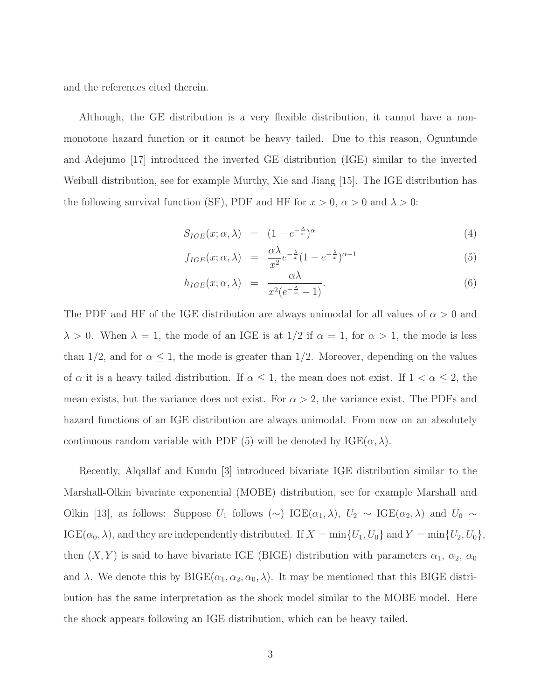and the references cited therein.

Although, the GE distribution is a very flexible distribution, it cannot have a nonmonotone hazard function or it cannot be heavy tailed. Due to this reason, Oguntunde and Adejumo [17] introduced the inverted GE distribution (IGE) similar to the inverted Weibull distribution, see for example Murthy, Xie and Jiang [15]. The IGE distribution has the following survival function (SF), PDF and HF for  $x > 0$ ,  $\alpha > 0$  and  $\lambda > 0$ :

$$
S_{IGE}(x; \alpha, \lambda) = (1 - e^{-\frac{\lambda}{x}})^{\alpha} \tag{4}
$$

$$
f_{IGE}(x; \alpha, \lambda) = \frac{\alpha \lambda}{x^2} e^{-\frac{\lambda}{x}} (1 - e^{-\frac{\lambda}{x}})^{\alpha - 1}
$$
(5)

$$
h_{IGE}(x; \alpha, \lambda) = \frac{\alpha \lambda}{x^2 (e^{-\frac{\lambda}{x}} - 1)}.
$$
\n(6)

The PDF and HF of the IGE distribution are always unimodal for all values of  $\alpha > 0$  and  $\lambda > 0$ . When  $\lambda = 1$ , the mode of an IGE is at  $1/2$  if  $\alpha = 1$ , for  $\alpha > 1$ , the mode is less than 1/2, and for  $\alpha \leq 1$ , the mode is greater than 1/2. Moreover, depending on the values of  $\alpha$  it is a heavy tailed distribution. If  $\alpha \leq 1$ , the mean does not exist. If  $1 < \alpha \leq 2$ , the mean exists, but the variance does not exist. For  $\alpha > 2$ , the variance exist. The PDFs and hazard functions of an IGE distribution are always unimodal. From now on an absolutely continuous random variable with PDF (5) will be denoted by  $IGE(\alpha, \lambda)$ .

Recently, Alqallaf and Kundu [3] introduced bivariate IGE distribution similar to the Marshall-Olkin bivariate exponential (MOBE) distribution, see for example Marshall and Olkin [13], as follows: Suppose  $U_1$  follows  $(\sim) \text{IGE}(\alpha_1, \lambda), U_2 \sim \text{IGE}(\alpha_2, \lambda)$  and  $U_0 \sim$ IGE( $\alpha_0$ ,  $\lambda$ ), and they are independently distributed. If  $X = \min\{U_1, U_0\}$  and  $Y = \min\{U_2, U_0\}$ , then  $(X, Y)$  is said to have bivariate IGE (BIGE) distribution with parameters  $\alpha_1, \alpha_2, \alpha_0$ and  $\lambda$ . We denote this by BIGE( $\alpha_1, \alpha_2, \alpha_0, \lambda$ ). It may be mentioned that this BIGE distribution has the same interpretation as the shock model similar to the MOBE model. Here the shock appears following an IGE distribution, which can be heavy tailed.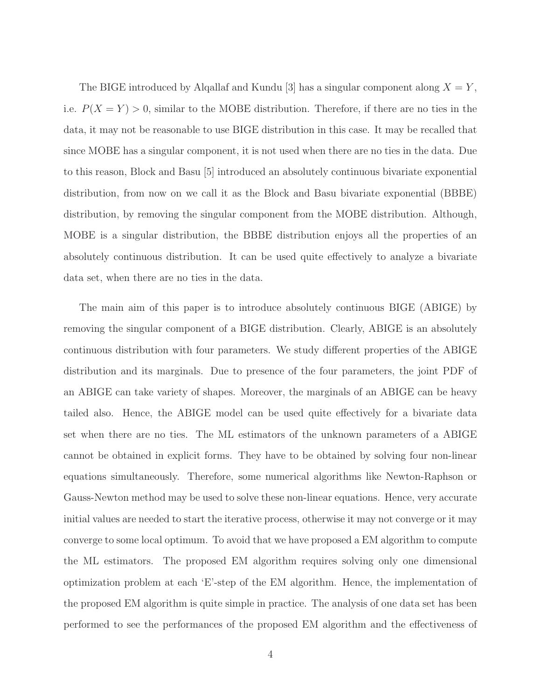The BIGE introduced by Alqallaf and Kundu [3] has a singular component along  $X = Y$ , i.e.  $P(X = Y) > 0$ , similar to the MOBE distribution. Therefore, if there are no ties in the data, it may not be reasonable to use BIGE distribution in this case. It may be recalled that since MOBE has a singular component, it is not used when there are no ties in the data. Due to this reason, Block and Basu [5] introduced an absolutely continuous bivariate exponential distribution, from now on we call it as the Block and Basu bivariate exponential (BBBE) distribution, by removing the singular component from the MOBE distribution. Although, MOBE is a singular distribution, the BBBE distribution enjoys all the properties of an absolutely continuous distribution. It can be used quite effectively to analyze a bivariate data set, when there are no ties in the data.

The main aim of this paper is to introduce absolutely continuous BIGE (ABIGE) by removing the singular component of a BIGE distribution. Clearly, ABIGE is an absolutely continuous distribution with four parameters. We study different properties of the ABIGE distribution and its marginals. Due to presence of the four parameters, the joint PDF of an ABIGE can take variety of shapes. Moreover, the marginals of an ABIGE can be heavy tailed also. Hence, the ABIGE model can be used quite effectively for a bivariate data set when there are no ties. The ML estimators of the unknown parameters of a ABIGE cannot be obtained in explicit forms. They have to be obtained by solving four non-linear equations simultaneously. Therefore, some numerical algorithms like Newton-Raphson or Gauss-Newton method may be used to solve these non-linear equations. Hence, very accurate initial values are needed to start the iterative process, otherwise it may not converge or it may converge to some local optimum. To avoid that we have proposed a EM algorithm to compute the ML estimators. The proposed EM algorithm requires solving only one dimensional optimization problem at each 'E'-step of the EM algorithm. Hence, the implementation of the proposed EM algorithm is quite simple in practice. The analysis of one data set has been performed to see the performances of the proposed EM algorithm and the effectiveness of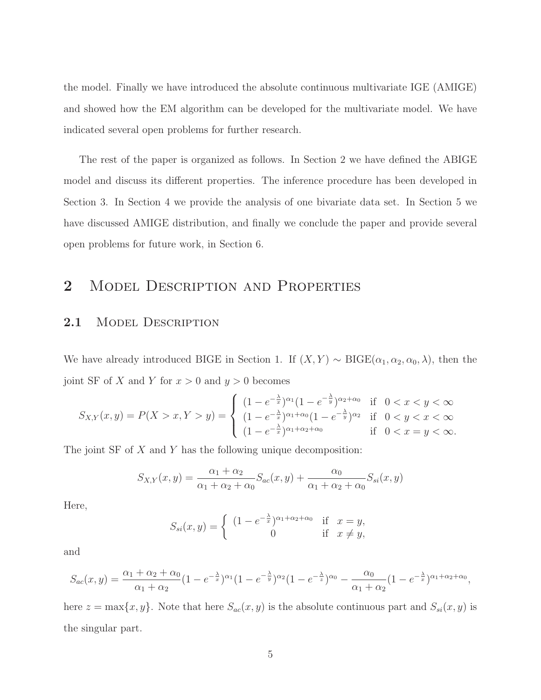the model. Finally we have introduced the absolute continuous multivariate IGE (AMIGE) and showed how the EM algorithm can be developed for the multivariate model. We have indicated several open problems for further research.

The rest of the paper is organized as follows. In Section 2 we have defined the ABIGE model and discuss its different properties. The inference procedure has been developed in Section 3. In Section 4 we provide the analysis of one bivariate data set. In Section 5 we have discussed AMIGE distribution, and finally we conclude the paper and provide several open problems for future work, in Section 6.

### 2 MODEL DESCRIPTION AND PROPERTIES

#### 2.1 MODEL DESCRIPTION

We have already introduced BIGE in Section 1. If  $(X, Y) \sim \text{BIGE}(\alpha_1, \alpha_2, \alpha_0, \lambda)$ , then the joint SF of X and Y for  $x > 0$  and  $y > 0$  becomes

$$
S_{X,Y}(x,y) = P(X > x, Y > y) = \begin{cases} (1 - e^{-\frac{\lambda}{x}})^{\alpha_1} (1 - e^{-\frac{\lambda}{y}})^{\alpha_2 + \alpha_0} & \text{if } 0 < x < y < \infty \\ (1 - e^{-\frac{\lambda}{x}})^{\alpha_1 + \alpha_0} (1 - e^{-\frac{\lambda}{y}})^{\alpha_2} & \text{if } 0 < y < x < \infty \\ (1 - e^{-\frac{\lambda}{x}})^{\alpha_1 + \alpha_2 + \alpha_0} & \text{if } 0 < x = y < \infty. \end{cases}
$$

The joint SF of X and Y has the following unique decomposition:

$$
S_{X,Y}(x,y) = \frac{\alpha_1 + \alpha_2}{\alpha_1 + \alpha_2 + \alpha_0} S_{ac}(x,y) + \frac{\alpha_0}{\alpha_1 + \alpha_2 + \alpha_0} S_{si}(x,y)
$$

Here,

$$
S_{si}(x,y) = \begin{cases} (1 - e^{-\frac{\lambda}{x}})^{\alpha_1 + \alpha_2 + \alpha_0} & \text{if } x = y, \\ 0 & \text{if } x \neq y, \end{cases}
$$

and

$$
S_{ac}(x,y) = \frac{\alpha_1 + \alpha_2 + \alpha_0}{\alpha_1 + \alpha_2} (1 - e^{-\frac{\lambda}{x}})^{\alpha_1} (1 - e^{-\frac{\lambda}{y}})^{\alpha_2} (1 - e^{-\frac{\lambda}{z}})^{\alpha_0} - \frac{\alpha_0}{\alpha_1 + \alpha_2} (1 - e^{-\frac{\lambda}{x}})^{\alpha_1 + \alpha_2 + \alpha_0},
$$

here  $z = \max\{x, y\}$ . Note that here  $S_{ac}(x, y)$  is the absolute continuous part and  $S_{si}(x, y)$  is the singular part.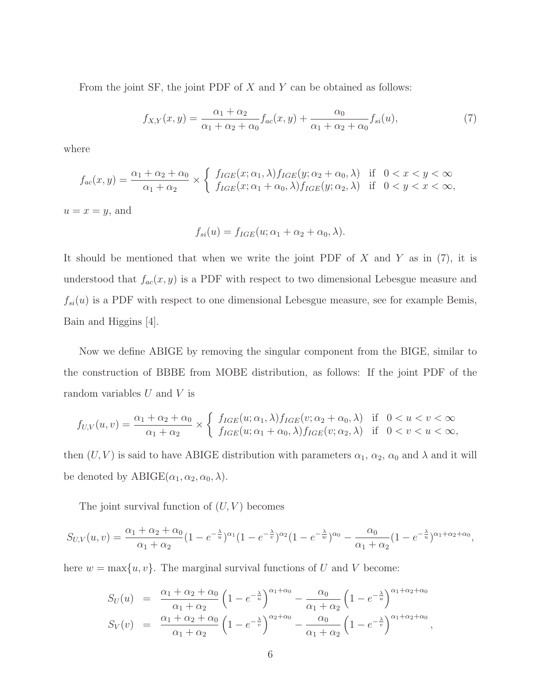From the joint SF, the joint PDF of  $X$  and  $Y$  can be obtained as follows:

$$
f_{X,Y}(x,y) = \frac{\alpha_1 + \alpha_2}{\alpha_1 + \alpha_2 + \alpha_0} f_{ac}(x,y) + \frac{\alpha_0}{\alpha_1 + \alpha_2 + \alpha_0} f_{si}(u),
$$
\n(7)

where

$$
f_{ac}(x,y) = \frac{\alpha_1 + \alpha_2 + \alpha_0}{\alpha_1 + \alpha_2} \times \left\{ \begin{array}{ll} f_{IGE}(x;\alpha_1,\lambda) f_{IGE}(y;\alpha_2 + \alpha_0,\lambda) & \text{if } 0 < x < y < \infty \\ f_{IGE}(x;\alpha_1 + \alpha_0,\lambda) f_{IGE}(y;\alpha_2,\lambda) & \text{if } 0 < y < x < \infty, \end{array} \right.
$$

 $u = x = y$ , and

$$
f_{si}(u) = f_{IGE}(u; \alpha_1 + \alpha_2 + \alpha_0, \lambda).
$$

It should be mentioned that when we write the joint PDF of  $X$  and  $Y$  as in (7), it is understood that  $f_{ac}(x, y)$  is a PDF with respect to two dimensional Lebesgue measure and  $f_{si}(u)$  is a PDF with respect to one dimensional Lebesgue measure, see for example Bemis, Bain and Higgins [4].

Now we define ABIGE by removing the singular component from the BIGE, similar to the construction of BBBE from MOBE distribution, as follows: If the joint PDF of the random variables  $U$  and  $V$  is

$$
f_{U,V}(u,v) = \frac{\alpha_1 + \alpha_2 + \alpha_0}{\alpha_1 + \alpha_2} \times \left\{ \begin{array}{ll} f_{IGE}(u; \alpha_1, \lambda) f_{IGE}(v; \alpha_2 + \alpha_0, \lambda) & \text{if } 0 < u < v < \infty \\ f_{IGE}(u; \alpha_1 + \alpha_0, \lambda) f_{IGE}(v; \alpha_2, \lambda) & \text{if } 0 < v < u < \infty, \end{array} \right.
$$

then  $(U, V)$  is said to have ABIGE distribution with parameters  $\alpha_1, \alpha_2, \alpha_0$  and  $\lambda$  and it will be denoted by  $ABIGE(\alpha_1, \alpha_2, \alpha_0, \lambda)$ .

The joint survival function of  $(U, V)$  becomes

$$
S_{U,V}(u,v) = \frac{\alpha_1 + \alpha_2 + \alpha_0}{\alpha_1 + \alpha_2} (1 - e^{-\frac{\lambda}{u}})^{\alpha_1} (1 - e^{-\frac{\lambda}{v}})^{\alpha_2} (1 - e^{-\frac{\lambda}{w}})^{\alpha_0} - \frac{\alpha_0}{\alpha_1 + \alpha_2} (1 - e^{-\frac{\lambda}{u}})^{\alpha_1 + \alpha_2 + \alpha_0},
$$

here  $w = \max\{u, v\}$ . The marginal survival functions of U and V become:

$$
S_U(u) = \frac{\alpha_1 + \alpha_2 + \alpha_0}{\alpha_1 + \alpha_2} \left(1 - e^{-\frac{\lambda}{u}}\right)^{\alpha_1 + \alpha_0} - \frac{\alpha_0}{\alpha_1 + \alpha_2} \left(1 - e^{-\frac{\lambda}{u}}\right)^{\alpha_1 + \alpha_2 + \alpha_0} S_V(v) = \frac{\alpha_1 + \alpha_2 + \alpha_0}{\alpha_1 + \alpha_2} \left(1 - e^{-\frac{\lambda}{v}}\right)^{\alpha_2 + \alpha_0} - \frac{\alpha_0}{\alpha_1 + \alpha_2} \left(1 - e^{-\frac{\lambda}{v}}\right)^{\alpha_1 + \alpha_2 + \alpha_0},
$$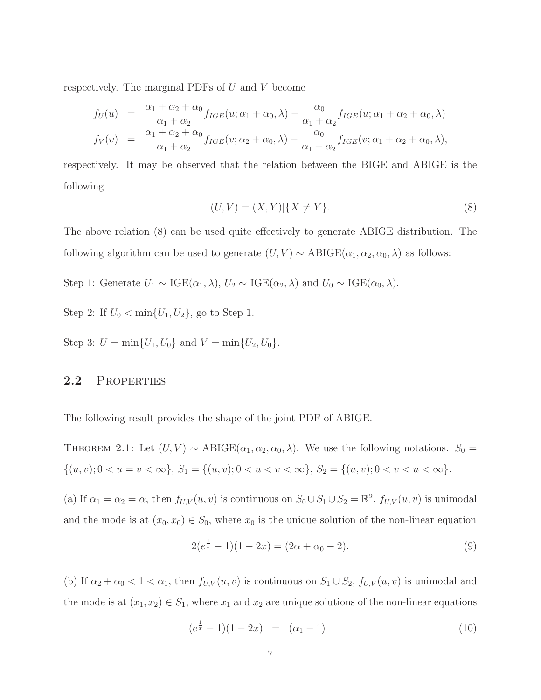respectively. The marginal PDFs of  $U$  and  $V$  become

$$
f_U(u) = \frac{\alpha_1 + \alpha_2 + \alpha_0}{\alpha_1 + \alpha_2} f_{IGE}(u; \alpha_1 + \alpha_0, \lambda) - \frac{\alpha_0}{\alpha_1 + \alpha_2} f_{IGE}(u; \alpha_1 + \alpha_2 + \alpha_0, \lambda)
$$
  

$$
f_V(v) = \frac{\alpha_1 + \alpha_2 + \alpha_0}{\alpha_1 + \alpha_2} f_{IGE}(v; \alpha_2 + \alpha_0, \lambda) - \frac{\alpha_0}{\alpha_1 + \alpha_2} f_{IGE}(v; \alpha_1 + \alpha_2 + \alpha_0, \lambda),
$$

respectively. It may be observed that the relation between the BIGE and ABIGE is the following.

$$
(U, V) = (X, Y)|\{X \neq Y\}.
$$
\n(8)

The above relation (8) can be used quite effectively to generate ABIGE distribution. The following algorithm can be used to generate  $(U, V) \sim \text{ABIGE}(\alpha_1, \alpha_2, \alpha_0, \lambda)$  as follows:

Step 1: Generate  $U_1 \sim \text{IGE}(\alpha_1, \lambda), U_2 \sim \text{IGE}(\alpha_2, \lambda)$  and  $U_0 \sim \text{IGE}(\alpha_0, \lambda)$ .

Step 2: If  $U_0 < \min\{U_1, U_2\}$ , go to Step 1.

Step 3:  $U = \min\{U_1, U_0\}$  and  $V = \min\{U_2, U_0\}.$ 

#### 2.2 PROPERTIES

The following result provides the shape of the joint PDF of ABIGE.

THEOREM 2.1: Let  $(U, V) \sim \text{ABIGE}(\alpha_1, \alpha_2, \alpha_0, \lambda)$ . We use the following notations.  $S_0 =$  $\{(u, v); 0 < u = v < \infty\}, S_1 = \{(u, v); 0 < u < v < \infty\}, S_2 = \{(u, v); 0 < v < u < \infty\}.$ 

(a) If  $\alpha_1 = \alpha_2 = \alpha$ , then  $f_{U,V}(u, v)$  is continuous on  $S_0 \cup S_1 \cup S_2 = \mathbb{R}^2$ ,  $f_{U,V}(u, v)$  is unimodal and the mode is at  $(x_0, x_0) \in S_0$ , where  $x_0$  is the unique solution of the non-linear equation

$$
2(e^{\frac{1}{x}} - 1)(1 - 2x) = (2\alpha + \alpha_0 - 2).
$$
\n(9)

(b) If  $\alpha_2 + \alpha_0 < 1 < \alpha_1$ , then  $f_{U,V}(u, v)$  is continuous on  $S_1 \cup S_2$ ,  $f_{U,V}(u, v)$  is unimodal and the mode is at  $(x_1, x_2) \in S_1$ , where  $x_1$  and  $x_2$  are unique solutions of the non-linear equations

$$
(e^{\frac{1}{x}} - 1)(1 - 2x) = (\alpha_1 - 1)
$$
\n(10)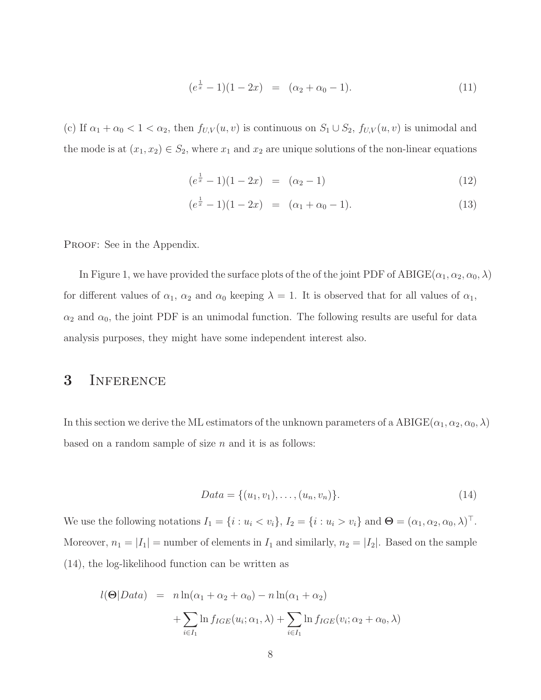$$
(e^{\frac{1}{x}} - 1)(1 - 2x) = (\alpha_2 + \alpha_0 - 1).
$$
 (11)

(c) If  $\alpha_1 + \alpha_0 < 1 < \alpha_2$ , then  $f_{U,V}(u, v)$  is continuous on  $S_1 \cup S_2$ ,  $f_{U,V}(u, v)$  is unimodal and the mode is at  $(x_1, x_2) \in S_2$ , where  $x_1$  and  $x_2$  are unique solutions of the non-linear equations

$$
(e^{\frac{1}{x}} - 1)(1 - 2x) = (\alpha_2 - 1)
$$
\n(12)

$$
(e^{\frac{1}{x}} - 1)(1 - 2x) = (\alpha_1 + \alpha_0 - 1).
$$
 (13)

PROOF: See in the Appendix.

In Figure 1, we have provided the surface plots of the of the joint PDF of  $ABIGE(\alpha_1, \alpha_2, \alpha_0, \lambda)$ for different values of  $\alpha_1$ ,  $\alpha_2$  and  $\alpha_0$  keeping  $\lambda = 1$ . It is observed that for all values of  $\alpha_1$ ,  $\alpha_2$  and  $\alpha_0$ , the joint PDF is an unimodal function. The following results are useful for data analysis purposes, they might have some independent interest also.

#### 3 INFERENCE

In this section we derive the ML estimators of the unknown parameters of a  $ABIGE(\alpha_1, \alpha_2, \alpha_0, \lambda)$ based on a random sample of size  $n$  and it is as follows:

$$
Data = \{(u_1, v_1), \dots, (u_n, v_n)\}.
$$
\n(14)

We use the following notations  $I_1 = \{i : u_i < v_i\}$ ,  $I_2 = \{i : u_i > v_i\}$  and  $\Theta = (\alpha_1, \alpha_2, \alpha_0, \lambda)^\top$ . Moreover,  $n_1 = |I_1|$  = number of elements in  $I_1$  and similarly,  $n_2 = |I_2|$ . Based on the sample (14), the log-likelihood function can be written as

$$
l(\Theta|Data) = n \ln(\alpha_1 + \alpha_2 + \alpha_0) - n \ln(\alpha_1 + \alpha_2)
$$

$$
+ \sum_{i \in I_1} \ln f_{IGE}(u_i; \alpha_1, \lambda) + \sum_{i \in I_1} \ln f_{IGE}(v_i; \alpha_2 + \alpha_0, \lambda)
$$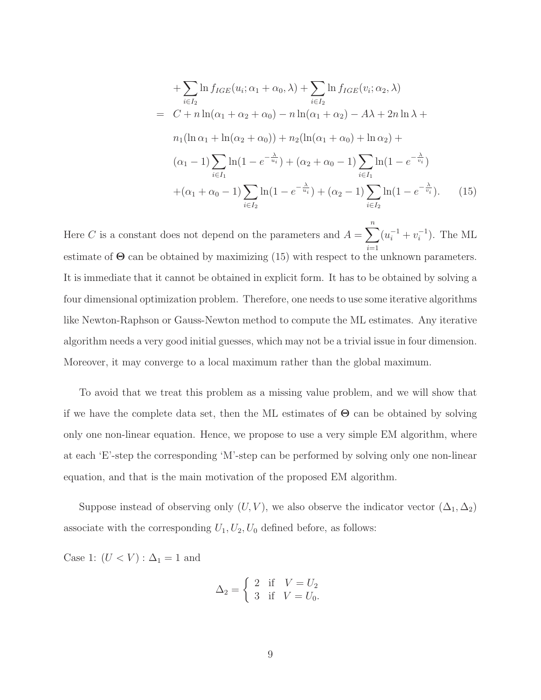+
$$
\sum_{i \in I_2} \ln f_{IGE}(u_i; \alpha_1 + \alpha_0, \lambda) + \sum_{i \in I_2} \ln f_{IGE}(v_i; \alpha_2, \lambda)
$$
  
=  $C + n \ln(\alpha_1 + \alpha_2 + \alpha_0) - n \ln(\alpha_1 + \alpha_2) - A\lambda + 2n \ln \lambda +$   
 $n_1(\ln \alpha_1 + \ln(\alpha_2 + \alpha_0)) + n_2(\ln(\alpha_1 + \alpha_0) + \ln \alpha_2) +$   
 $(\alpha_1 - 1) \sum_{i \in I_1} \ln(1 - e^{-\frac{\lambda}{u_i}}) + (\alpha_2 + \alpha_0 - 1) \sum_{i \in I_1} \ln(1 - e^{-\frac{\lambda}{v_i}})$   
 $+ (\alpha_1 + \alpha_0 - 1) \sum_{i \in I_2} \ln(1 - e^{-\frac{\lambda}{u_i}}) + (\alpha_2 - 1) \sum_{i \in I_2} \ln(1 - e^{-\frac{\lambda}{v_i}}).$  (15)

Here C is a constant does not depend on the parameters and  $A = \sum_{n=1}^n A_n$  $i=1$  $(u_i^{-1} + v_i^{-1})$ . The ML estimate of  $\Theta$  can be obtained by maximizing (15) with respect to the unknown parameters. It is immediate that it cannot be obtained in explicit form. It has to be obtained by solving a four dimensional optimization problem. Therefore, one needs to use some iterative algorithms like Newton-Raphson or Gauss-Newton method to compute the ML estimates. Any iterative algorithm needs a very good initial guesses, which may not be a trivial issue in four dimension. Moreover, it may converge to a local maximum rather than the global maximum.

To avoid that we treat this problem as a missing value problem, and we will show that if we have the complete data set, then the ML estimates of  $\Theta$  can be obtained by solving only one non-linear equation. Hence, we propose to use a very simple EM algorithm, where at each 'E'-step the corresponding 'M'-step can be performed by solving only one non-linear equation, and that is the main motivation of the proposed EM algorithm.

Suppose instead of observing only  $(U, V)$ , we also observe the indicator vector  $(\Delta_1, \Delta_2)$ associate with the corresponding  $U_1, U_2, U_0$  defined before, as follows:

Case 1:  $(U < V) : \Delta_1 = 1$  and

$$
\Delta_2 = \begin{cases} 2 & \text{if } V = U_2 \\ 3 & \text{if } V = U_0. \end{cases}
$$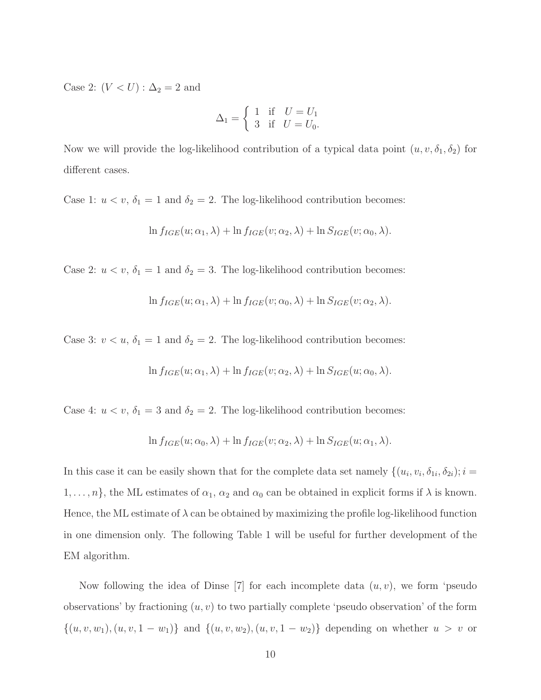Case 2:  $(V < U)$  :  $\Delta_2 = 2$  and

$$
\Delta_1 = \begin{cases} 1 & \text{if } U = U_1 \\ 3 & \text{if } U = U_0. \end{cases}
$$

Now we will provide the log-likelihood contribution of a typical data point  $(u, v, \delta_1, \delta_2)$  for different cases.

Case 1:  $u < v$ ,  $\delta_1 = 1$  and  $\delta_2 = 2$ . The log-likelihood contribution becomes:

$$
\ln f_{IGE}(u; \alpha_1, \lambda) + \ln f_{IGE}(v; \alpha_2, \lambda) + \ln S_{IGE}(v; \alpha_0, \lambda).
$$

Case 2:  $u < v$ ,  $\delta_1 = 1$  and  $\delta_2 = 3$ . The log-likelihood contribution becomes:

$$
\ln f_{IGE}(u; \alpha_1, \lambda) + \ln f_{IGE}(v; \alpha_0, \lambda) + \ln S_{IGE}(v; \alpha_2, \lambda).
$$

Case 3:  $v < u$ ,  $\delta_1 = 1$  and  $\delta_2 = 2$ . The log-likelihood contribution becomes:

$$
\ln f_{IGE}(u; \alpha_1, \lambda) + \ln f_{IGE}(v; \alpha_2, \lambda) + \ln S_{IGE}(u; \alpha_0, \lambda).
$$

Case 4:  $u < v$ ,  $\delta_1 = 3$  and  $\delta_2 = 2$ . The log-likelihood contribution becomes:

$$
\ln f_{IGE}(u; \alpha_0, \lambda) + \ln f_{IGE}(v; \alpha_2, \lambda) + \ln S_{IGE}(u; \alpha_1, \lambda).
$$

In this case it can be easily shown that for the complete data set namely  $\{(u_i, v_i, \delta_{1i}, \delta_{2i}); i =$  $1, \ldots, n$ , the ML estimates of  $\alpha_1, \alpha_2$  and  $\alpha_0$  can be obtained in explicit forms if  $\lambda$  is known. Hence, the ML estimate of  $\lambda$  can be obtained by maximizing the profile log-likelihood function in one dimension only. The following Table 1 will be useful for further development of the EM algorithm.

Now following the idea of Dinse  $[7]$  for each incomplete data  $(u, v)$ , we form 'pseudo observations' by fractioning  $(u, v)$  to two partially complete 'pseudo observation' of the form  $\{(u, v, w_1), (u, v, 1 - w_1)\}\$ and  $\{(u, v, w_2), (u, v, 1 - w_2)\}\$ depending on whether  $u > v$  or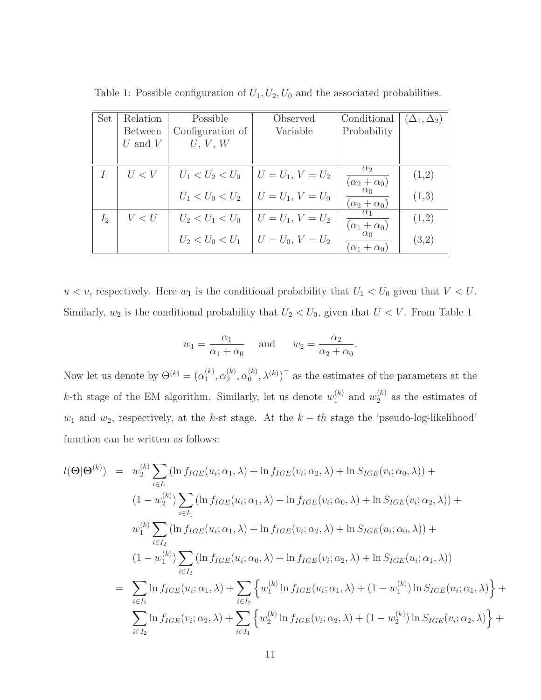| <b>Set</b>     | Relation       | Possible         | Observed                                  | Conditional                                          | $(\Delta_1, \Delta_2)$ |
|----------------|----------------|------------------|-------------------------------------------|------------------------------------------------------|------------------------|
|                | <b>Between</b> | Configuration of | Variable                                  | Probability                                          |                        |
|                | U and $V$      | U, V, W          |                                           |                                                      |                        |
|                |                |                  |                                           |                                                      |                        |
| I <sub>1</sub> | U < V          |                  | $U_1 < U_2 < U_0$   $U = U_1, V = U_2$    | $\alpha_2$<br>$(\alpha_2+\alpha_0)$                  | (1,2)                  |
|                |                |                  | $U_1 < U_0 < U_2$   $U = U_1, V = U_0$    | $\alpha_0$<br>$\frac{(\alpha_2+\alpha_0)}{\alpha_1}$ | (1,3)                  |
| I <sub>2</sub> | V < U          |                  | $U_2 < U_1 < U_0$   $U = U_1, V = U_2$    | $(\alpha_1+\alpha_0)$                                | (1,2)                  |
|                |                |                  | $U_2 < U_0 < U_1$   $U = U_0$ , $V = U_2$ | $\alpha_0$<br>$(\alpha_1 + \alpha_0)$                | (3,2)                  |

Table 1: Possible configuration of  $U_1, U_2, U_0$  and the associated probabilities.

 $u < v$ , respectively. Here  $w_1$  is the conditional probability that  $U_1 < U_0$  given that  $V < U$ . Similarly,  $w_2$  is the conditional probability that  $U_2 < U_0$ , given that  $U < V$ . From Table 1

$$
w_1 = \frac{\alpha_1}{\alpha_1 + \alpha_0}
$$
 and  $w_2 = \frac{\alpha_2}{\alpha_2 + \alpha_0}$ .

Now let us denote by  $\Theta^{(k)} = (\alpha_1^{(k)})$  $\binom{k}{1}, \alpha_2^{(k)}$  $\alpha_2^{(k)}, \alpha_0^{(k)}$  $\binom{k}{0}, \lambda^{(k)}$ <sup>T</sup> as the estimates of the parameters at the k-th stage of the EM algorithm. Similarly, let us denote  $w_1^{(k)}$  $\binom{k}{1}$  and  $w_2^{(k)}$  $2^{(\kappa)}$  as the estimates of  $w_1$  and  $w_2$ , respectively, at the k-st stage. At the  $k-th$  stage the 'pseudo-log-likelihood' function can be written as follows:

$$
l(\Theta|\Theta^{(k)}) = w_2^{(k)} \sum_{i \in I_1} (\ln f_{IGE}(u_i; \alpha_1, \lambda) + \ln f_{IGE}(v_i; \alpha_2, \lambda) + \ln S_{IGE}(v_i; \alpha_0, \lambda)) +
$$
  
\n
$$
(1 - w_2^{(k)}) \sum_{i \in I_1} (\ln f_{IGE}(u_i; \alpha_1, \lambda) + \ln f_{IGE}(v_i; \alpha_0, \lambda) + \ln S_{IGE}(v_i; \alpha_2, \lambda)) +
$$
  
\n
$$
w_1^{(k)} \sum_{i \in I_2} (\ln f_{IGE}(u_i; \alpha_1, \lambda) + \ln f_{IGE}(v_i; \alpha_2, \lambda) + \ln S_{IGE}(u_i; \alpha_0, \lambda)) +
$$
  
\n
$$
(1 - w_1^{(k)}) \sum_{i \in I_2} (\ln f_{IGE}(u_i; \alpha_0, \lambda) + \ln f_{IGE}(v_i; \alpha_2, \lambda) + \ln S_{IGE}(u_i; \alpha_1, \lambda))
$$
  
\n
$$
= \sum_{i \in I_1} \ln f_{IGE}(u_i; \alpha_1, \lambda) + \sum_{i \in I_2} \left\{ w_1^{(k)} \ln f_{IGE}(u_i; \alpha_1, \lambda) + (1 - w_1^{(k)}) \ln S_{IGE}(u_i; \alpha_1, \lambda) \right\} +
$$
  
\n
$$
\sum_{i \in I_2} \ln f_{IGE}(v_i; \alpha_2, \lambda) + \sum_{i \in I_1} \left\{ w_2^{(k)} \ln f_{IGE}(v_i; \alpha_2, \lambda) + (1 - w_2^{(k)}) \ln S_{IGE}(v_i; \alpha_2, \lambda) \right\} +
$$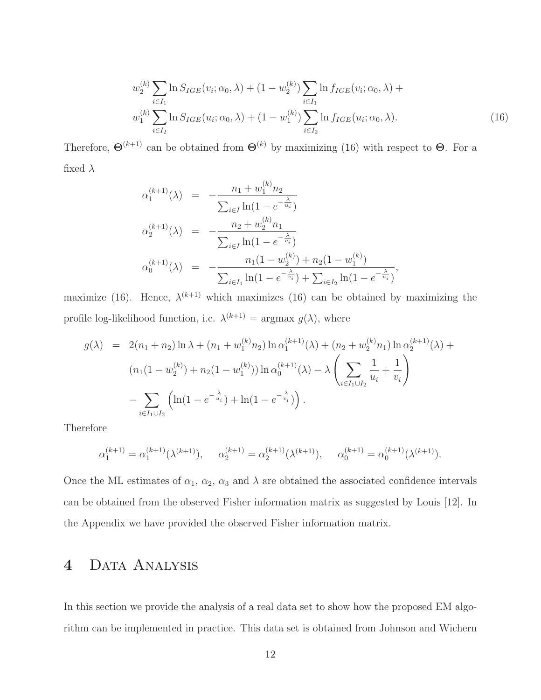$$
w_2^{(k)} \sum_{i \in I_1} \ln S_{IGE}(v_i; \alpha_0, \lambda) + (1 - w_2^{(k)}) \sum_{i \in I_1} \ln f_{IGE}(v_i; \alpha_0, \lambda) + w_1^{(k)} \sum_{i \in I_2} \ln S_{IGE}(u_i; \alpha_0, \lambda) + (1 - w_1^{(k)}) \sum_{i \in I_2} \ln f_{IGE}(u_i; \alpha_0, \lambda).
$$
 (16)

Therefore,  $\Theta^{(k+1)}$  can be obtained from  $\Theta^{(k)}$  by maximizing (16) with respect to  $\Theta$ . For a fixed  $\lambda$ 

$$
\alpha_1^{(k+1)}(\lambda) = -\frac{n_1 + w_1^{(k)}n_2}{\sum_{i \in I} \ln(1 - e^{-\frac{\lambda}{u_i}})}
$$
  
\n
$$
\alpha_2^{(k+1)}(\lambda) = -\frac{n_2 + w_2^{(k)}n_1}{\sum_{i \in I} \ln(1 - e^{-\frac{\lambda}{v_i}})}
$$
  
\n
$$
\alpha_0^{(k+1)}(\lambda) = -\frac{n_1(1 - w_2^{(k)}) + n_2(1 - w_1^{(k)})}{\sum_{i \in I_1} \ln(1 - e^{-\frac{\lambda}{v_i}}) + \sum_{i \in I_2} \ln(1 - e^{-\frac{\lambda}{u_i}})}
$$

maximize (16). Hence,  $\lambda^{(k+1)}$  which maximizes (16) can be obtained by maximizing the profile log-likelihood function, i.e.  $\lambda^{(k+1)} = \text{argmax } g(\lambda)$ , where

$$
g(\lambda) = 2(n_1 + n_2) \ln \lambda + (n_1 + w_1^{(k)} n_2) \ln \alpha_1^{(k+1)}(\lambda) + (n_2 + w_2^{(k)} n_1) \ln \alpha_2^{(k+1)}(\lambda) + (n_1(1 - w_2^{(k)}) + n_2(1 - w_1^{(k)})) \ln \alpha_0^{(k+1)}(\lambda) - \lambda \left(\sum_{i \in I_1 \cup I_2} \frac{1}{u_i} + \frac{1}{v_i}\right) - \sum_{i \in I_1 \cup I_2} \left(\ln(1 - e^{-\frac{\lambda}{u_i}}) + \ln(1 - e^{-\frac{\lambda}{v_i}})\right).
$$

Therefore

$$
\alpha_1^{(k+1)} = \alpha_1^{(k+1)}(\lambda^{(k+1)}), \quad \alpha_2^{(k+1)} = \alpha_2^{(k+1)}(\lambda^{(k+1)}), \quad \alpha_0^{(k+1)} = \alpha_0^{(k+1)}(\lambda^{(k+1)}).
$$

Once the ML estimates of  $\alpha_1$ ,  $\alpha_2$ ,  $\alpha_3$  and  $\lambda$  are obtained the associated confidence intervals can be obtained from the observed Fisher information matrix as suggested by Louis [12]. In the Appendix we have provided the observed Fisher information matrix.

## 4 DATA ANALYSIS

In this section we provide the analysis of a real data set to show how the proposed EM algorithm can be implemented in practice. This data set is obtained from Johnson and Wichern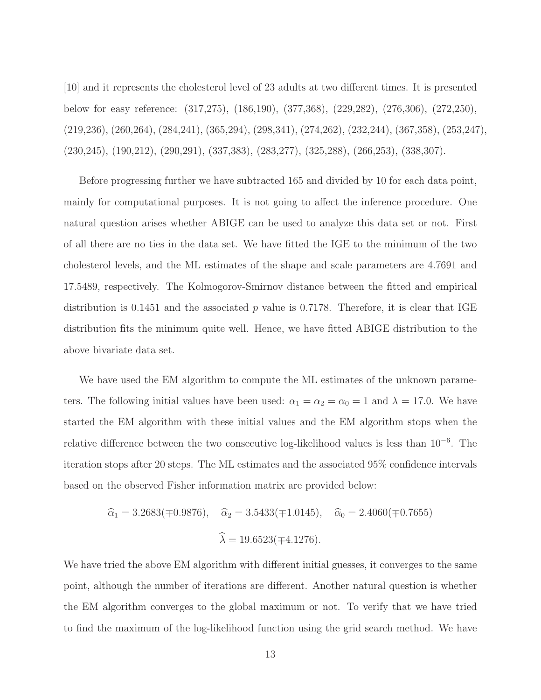[10] and it represents the cholesterol level of 23 adults at two different times. It is presented below for easy reference: (317,275), (186,190), (377,368), (229,282), (276,306), (272,250), (219,236), (260,264), (284,241), (365,294), (298,341), (274,262), (232,244), (367,358), (253,247), (230,245), (190,212), (290,291), (337,383), (283,277), (325,288), (266,253), (338,307).

Before progressing further we have subtracted 165 and divided by 10 for each data point, mainly for computational purposes. It is not going to affect the inference procedure. One natural question arises whether ABIGE can be used to analyze this data set or not. First of all there are no ties in the data set. We have fitted the IGE to the minimum of the two cholesterol levels, and the ML estimates of the shape and scale parameters are 4.7691 and 17.5489, respectively. The Kolmogorov-Smirnov distance between the fitted and empirical distribution is 0.1451 and the associated p value is 0.7178. Therefore, it is clear that IGE distribution fits the minimum quite well. Hence, we have fitted ABIGE distribution to the above bivariate data set.

We have used the EM algorithm to compute the ML estimates of the unknown parameters. The following initial values have been used:  $\alpha_1 = \alpha_2 = \alpha_0 = 1$  and  $\lambda = 17.0$ . We have started the EM algorithm with these initial values and the EM algorithm stops when the relative difference between the two consecutive log-likelihood values is less than 10<sup>−</sup><sup>6</sup> . The iteration stops after 20 steps. The ML estimates and the associated 95% confidence intervals based on the observed Fisher information matrix are provided below:

$$
\hat{\alpha}_1 = 3.2683(\pm 0.9876),
$$
  $\hat{\alpha}_2 = 3.5433(\pm 1.0145),$   $\hat{\alpha}_0 = 2.4060(\pm 0.7655)$   
 $\hat{\lambda} = 19.6523(\pm 4.1276).$ 

We have tried the above EM algorithm with different initial guesses, it converges to the same point, although the number of iterations are different. Another natural question is whether the EM algorithm converges to the global maximum or not. To verify that we have tried to find the maximum of the log-likelihood function using the grid search method. We have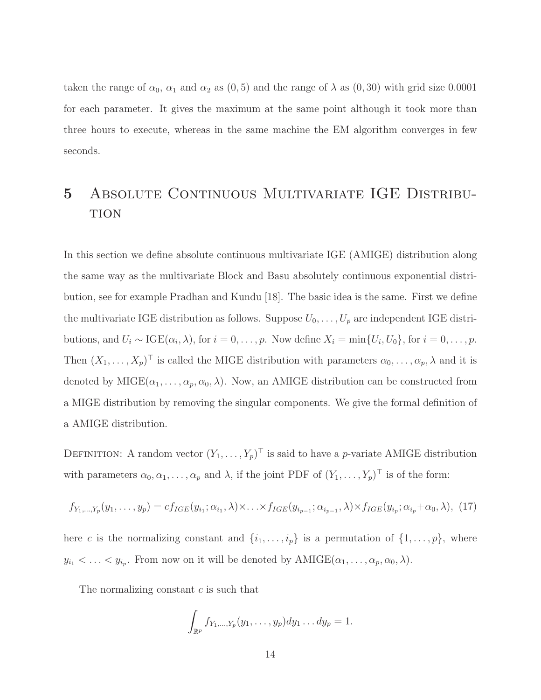taken the range of  $\alpha_0$ ,  $\alpha_1$  and  $\alpha_2$  as  $(0, 5)$  and the range of  $\lambda$  as  $(0, 30)$  with grid size 0.0001 for each parameter. It gives the maximum at the same point although it took more than three hours to execute, whereas in the same machine the EM algorithm converges in few seconds.

## 5 ABSOLUTE CONTINUOUS MULTIVARIATE IGE DISTRIBU-**TION**

In this section we define absolute continuous multivariate IGE (AMIGE) distribution along the same way as the multivariate Block and Basu absolutely continuous exponential distribution, see for example Pradhan and Kundu [18]. The basic idea is the same. First we define the multivariate IGE distribution as follows. Suppose  $U_0, \ldots, U_p$  are independent IGE distributions, and  $U_i \sim \text{IGE}(\alpha_i, \lambda)$ , for  $i = 0, \ldots, p$ . Now define  $X_i = \min\{U_i, U_0\}$ , for  $i = 0, \ldots, p$ . Then  $(X_1, \ldots, X_p)^\top$  is called the MIGE distribution with parameters  $\alpha_0, \ldots, \alpha_p, \lambda$  and it is denoted by  $MIGE(\alpha_1, \ldots, \alpha_p, \alpha_0, \lambda)$ . Now, an AMIGE distribution can be constructed from a MIGE distribution by removing the singular components. We give the formal definition of a AMIGE distribution.

DEFINITION: A random vector  $(Y_1, \ldots, Y_p)^\top$  is said to have a *p*-variate AMIGE distribution with parameters  $\alpha_0, \alpha_1, \ldots, \alpha_p$  and  $\lambda$ , if the joint PDF of  $(Y_1, \ldots, Y_p)^\top$  is of the form:

$$
f_{Y_1,\ldots,Y_p}(y_1,\ldots,y_p)=cf_{IGE}(y_{i_1};\alpha_{i_1},\lambda)\times\ldots\times f_{IGE}(y_{i_{p-1}};\alpha_{i_{p-1}},\lambda)\times f_{IGE}(y_{i_p};\alpha_{i_p}+\alpha_0,\lambda), (17)
$$

here c is the normalizing constant and  $\{i_1, \ldots, i_p\}$  is a permutation of  $\{1, \ldots, p\}$ , where  $y_{i_1} < \ldots < y_{i_p}$ . From now on it will be denoted by  $AMIGE(\alpha_1, \ldots, \alpha_p, \alpha_0, \lambda)$ .

The normalizing constant c is such that

$$
\int_{\mathbb{R}^p} f_{Y_1,\ldots,Y_p}(y_1,\ldots,y_p) dy_1\ldots dy_p = 1.
$$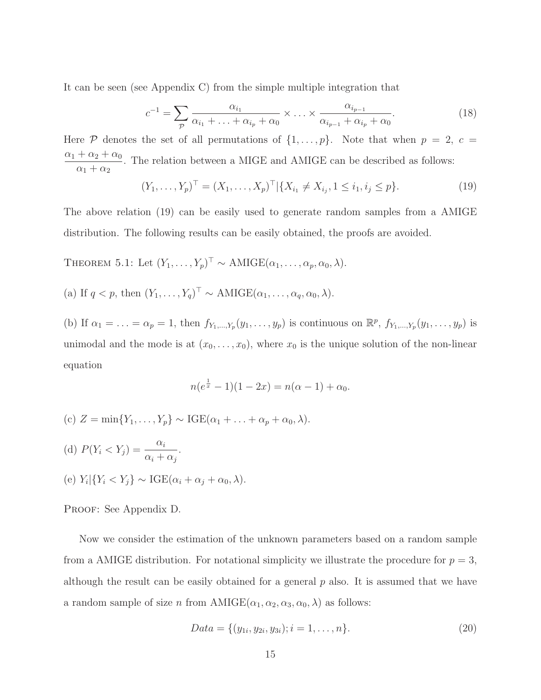It can be seen (see Appendix C) from the simple multiple integration that

$$
c^{-1} = \sum_{p} \frac{\alpha_{i_1}}{\alpha_{i_1} + \ldots + \alpha_{i_p} + \alpha_0} \times \ldots \times \frac{\alpha_{i_{p-1}}}{\alpha_{i_{p-1}} + \alpha_{i_p} + \alpha_0}.
$$
 (18)

Here  $P$  denotes the set of all permutations of  $\{1,\ldots,p\}$ . Note that when  $p = 2, c =$  $\alpha_1 + \alpha_2 + \alpha_0$  $\alpha_1 + \alpha_2$ . The relation between a MIGE and AMIGE can be described as follows:

$$
(Y_1, \ldots, Y_p)^\top = (X_1, \ldots, X_p)^\top | \{ X_{i_1} \neq X_{i_j}, 1 \leq i_1, i_j \leq p \}.
$$
 (19)

The above relation (19) can be easily used to generate random samples from a AMIGE distribution. The following results can be easily obtained, the proofs are avoided.

THEOREM 5.1: Let  $(Y_1, \ldots, Y_p)^\top \sim \text{AMIGE}(\alpha_1, \ldots, \alpha_p, \alpha_0, \lambda)$ .

(a) If  $q < p$ , then  $(Y_1, \ldots, Y_q)^\top \sim \text{AMIGE}(\alpha_1, \ldots, \alpha_q, \alpha_0, \lambda)$ .

(b) If  $\alpha_1 = \ldots = \alpha_p = 1$ , then  $f_{Y_1,\ldots,Y_p}(y_1,\ldots,y_p)$  is continuous on  $\mathbb{R}^p$ ,  $f_{Y_1,\ldots,Y_p}(y_1,\ldots,y_p)$  is unimodal and the mode is at  $(x_0, \ldots, x_0)$ , where  $x_0$  is the unique solution of the non-linear equation

$$
n(e^{\frac{1}{x}} - 1)(1 - 2x) = n(\alpha - 1) + \alpha_0.
$$

- (c)  $Z = \min\{Y_1, \ldots, Y_p\} \sim \text{IGE}(\alpha_1 + \ldots + \alpha_p + \alpha_0, \lambda).$
- (d)  $P(Y_i < Y_j) = \frac{\alpha_i}{\alpha_i}$  $\alpha_i + \alpha_j$ . (e)  $Y_i | \{ Y_i < Y_j \} \sim \text{IGE}(\alpha_i + \alpha_j + \alpha_0, \lambda).$

PROOF: See Appendix D.

Now we consider the estimation of the unknown parameters based on a random sample from a AMIGE distribution. For notational simplicity we illustrate the procedure for  $p = 3$ , although the result can be easily obtained for a general  $p$  also. It is assumed that we have a random sample of size n from  $AMIGE(\alpha_1, \alpha_2, \alpha_3, \alpha_0, \lambda)$  as follows:

$$
Data = \{(y_{1i}, y_{2i}, y_{3i}); i = 1, \dots, n\}.
$$
\n
$$
(20)
$$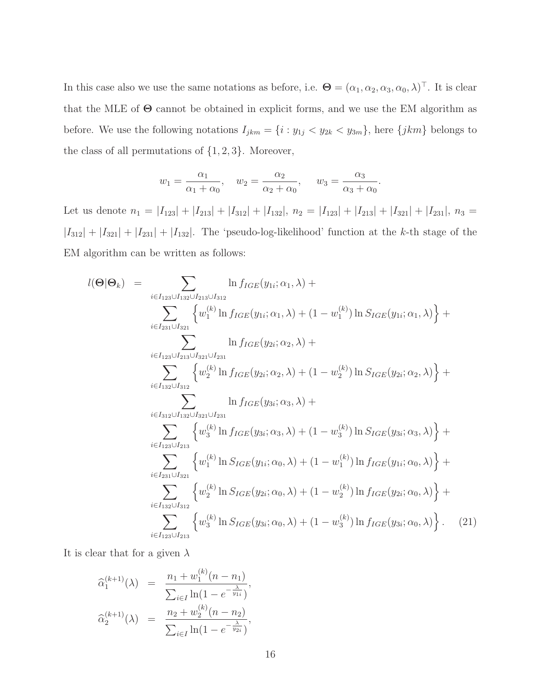In this case also we use the same notations as before, i.e.  $\mathbf{\Theta} = (\alpha_1, \alpha_2, \alpha_3, \alpha_0, \lambda)^\top$ . It is clear that the MLE of  $\Theta$  cannot be obtained in explicit forms, and we use the EM algorithm as before. We use the following notations  $I_{jkm} = \{i : y_{1j} < y_{2k} < y_{3m}\}$ , here  $\{jkm\}$  belongs to the class of all permutations of  $\{1, 2, 3\}$ . Moreover,

$$
w_1 = \frac{\alpha_1}{\alpha_1 + \alpha_0}
$$
,  $w_2 = \frac{\alpha_2}{\alpha_2 + \alpha_0}$ ,  $w_3 = \frac{\alpha_3}{\alpha_3 + \alpha_0}$ .

Let us denote  $n_1 = |I_{123}| + |I_{213}| + |I_{312}| + |I_{132}|$ ,  $n_2 = |I_{123}| + |I_{213}| + |I_{321}| + |I_{231}|$ ,  $n_3 =$  $|I_{312}| + |I_{321}| + |I_{231}| + |I_{132}|$ . The 'pseudo-log-likelihood' function at the k-th stage of the EM algorithm can be written as follows:

$$
l(\Theta|\Theta_{k}) = \sum_{i \in I_{123} \cup I_{132} \cup I_{213} \cup I_{312}} \ln f_{IGE}(y_{1i}; \alpha_{1}, \lambda) +
$$
  
\n
$$
\sum_{i \in I_{231} \cup I_{321}} \left\{ w_{1}^{(k)} \ln f_{IGE}(y_{1i}; \alpha_{1}, \lambda) + (1 - w_{1}^{(k)}) \ln S_{IGE}(y_{1i}; \alpha_{1}, \lambda) \right\} +
$$
  
\n
$$
\sum_{i \in I_{123} \cup I_{231} \cup I_{321}} \ln f_{IGE}(y_{2i}; \alpha_{2}, \lambda) +
$$
  
\n
$$
\sum_{i \in I_{132} \cup I_{332}} \left\{ w_{2}^{(k)} \ln f_{IGE}(y_{2i}; \alpha_{2}, \lambda) + (1 - w_{2}^{(k)}) \ln S_{IGE}(y_{2i}; \alpha_{2}, \lambda) \right\} +
$$
  
\n
$$
\sum_{i \in I_{32} \cup I_{332} \cup I_{321} \cup I_{321}} \left\{ w_{3}^{(k)} \ln f_{IGE}(y_{3i}; \alpha_{3}, \lambda) + (1 - w_{3}^{(k)}) \ln S_{IGE}(y_{3i}; \alpha_{3}, \lambda) \right\} +
$$
  
\n
$$
\sum_{i \in I_{123} \cup I_{312}} \left\{ w_{1}^{(k)} \ln S_{IGE}(y_{1i}; \alpha_{0}, \lambda) + (1 - w_{1}^{(k)}) \ln f_{IGE}(y_{1i}; \alpha_{0}, \lambda) \right\} +
$$
  
\n
$$
\sum_{i \in I_{132} \cup I_{312}} \left\{ w_{2}^{(k)} \ln S_{IGE}(y_{2i}; \alpha_{0}, \lambda) + (1 - w_{2}^{(k)}) \ln f_{IGE}(y_{2i}; \alpha_{0}, \lambda) \right\} +
$$
  
\n
$$
\sum_{i \in I_{123} \cup I_{213}} \left\{ w_{3}^{(k)} \ln S_{IGE}(y_{3i}; \alpha_{0}, \lambda) + (1 - w_{3}^{(k)}) \ln f_{IGE}(y_{2i}; \alpha_{0}, \lambda) \right\}.
$$
  
\n(21)

It is clear that for a given  $\lambda$ 

$$
\widehat{\alpha}_1^{(k+1)}(\lambda) = \frac{n_1 + w_1^{(k)}(n - n_1)}{\sum_{i \in I} \ln(1 - e^{-\frac{\lambda}{y_{1i}}})},
$$
  

$$
\widehat{\alpha}_2^{(k+1)}(\lambda) = \frac{n_2 + w_2^{(k)}(n - n_2)}{\sum_{i \in I} \ln(1 - e^{-\frac{\lambda}{y_{2i}}})},
$$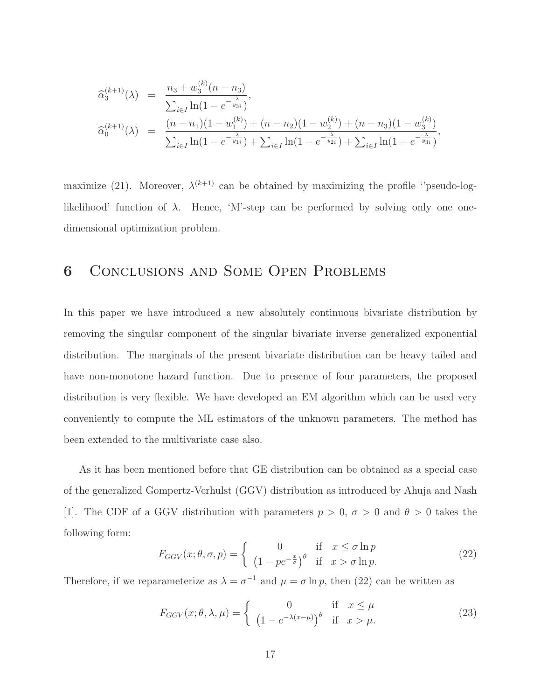$$
\begin{array}{rcl}\n\widehat{\alpha}_3^{(k+1)}(\lambda) &=& \frac{n_3 + w_3^{(k)}(n - n_3)}{\sum_{i \in I} \ln(1 - e^{-\frac{\lambda}{y_{3i}}})}, \\
\widehat{\alpha}_0^{(k+1)}(\lambda) &=& \frac{(n - n_1)(1 - w_1^{(k)}) + (n - n_2)(1 - w_2^{(k)}) + (n - n_3)(1 - w_3^{(k)})}{\sum_{i \in I} \ln(1 - e^{-\frac{\lambda}{y_{1i}}}) + \sum_{i \in I} \ln(1 - e^{-\frac{\lambda}{y_{2i}}}) + \sum_{i \in I} \ln(1 - e^{-\frac{\lambda}{y_{3i}}})},\n\end{array}
$$

maximize (21). Moreover,  $\lambda^{(k+1)}$  can be obtained by maximizing the profile "pseudo-loglikelihood' function of  $\lambda$ . Hence, 'M'-step can be performed by solving only one onedimensional optimization problem.

### 6 Conclusions and Some Open Problems

In this paper we have introduced a new absolutely continuous bivariate distribution by removing the singular component of the singular bivariate inverse generalized exponential distribution. The marginals of the present bivariate distribution can be heavy tailed and have non-monotone hazard function. Due to presence of four parameters, the proposed distribution is very flexible. We have developed an EM algorithm which can be used very conveniently to compute the ML estimators of the unknown parameters. The method has been extended to the multivariate case also.

As it has been mentioned before that GE distribution can be obtained as a special case of the generalized Gompertz-Verhulst (GGV) distribution as introduced by Ahuja and Nash [1]. The CDF of a GGV distribution with parameters  $p > 0$ ,  $\sigma > 0$  and  $\theta > 0$  takes the following form:

$$
F_{GGV}(x; \theta, \sigma, p) = \begin{cases} 0 & \text{if } x \le \sigma \ln p \\ \left(1 - pe^{-\frac{x}{\sigma}}\right)^{\theta} & \text{if } x > \sigma \ln p. \end{cases}
$$
 (22)

Therefore, if we reparameterize as  $\lambda = \sigma^{-1}$  and  $\mu = \sigma \ln p$ , then (22) can be written as

$$
F_{GGV}(x; \theta, \lambda, \mu) = \begin{cases} 0 & \text{if } x \le \mu \\ \left(1 - e^{-\lambda(x-\mu)}\right)^{\theta} & \text{if } x > \mu. \end{cases}
$$
 (23)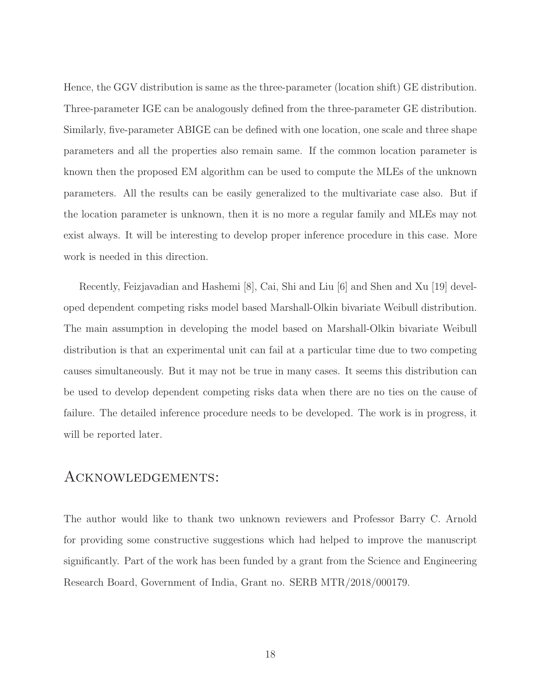Hence, the GGV distribution is same as the three-parameter (location shift) GE distribution. Three-parameter IGE can be analogously defined from the three-parameter GE distribution. Similarly, five-parameter ABIGE can be defined with one location, one scale and three shape parameters and all the properties also remain same. If the common location parameter is known then the proposed EM algorithm can be used to compute the MLEs of the unknown parameters. All the results can be easily generalized to the multivariate case also. But if the location parameter is unknown, then it is no more a regular family and MLEs may not exist always. It will be interesting to develop proper inference procedure in this case. More work is needed in this direction.

Recently, Feizjavadian and Hashemi [8], Cai, Shi and Liu [6] and Shen and Xu [19] developed dependent competing risks model based Marshall-Olkin bivariate Weibull distribution. The main assumption in developing the model based on Marshall-Olkin bivariate Weibull distribution is that an experimental unit can fail at a particular time due to two competing causes simultaneously. But it may not be true in many cases. It seems this distribution can be used to develop dependent competing risks data when there are no ties on the cause of failure. The detailed inference procedure needs to be developed. The work is in progress, it will be reported later.

#### Acknowledgements:

The author would like to thank two unknown reviewers and Professor Barry C. Arnold for providing some constructive suggestions which had helped to improve the manuscript significantly. Part of the work has been funded by a grant from the Science and Engineering Research Board, Government of India, Grant no. SERB MTR/2018/000179.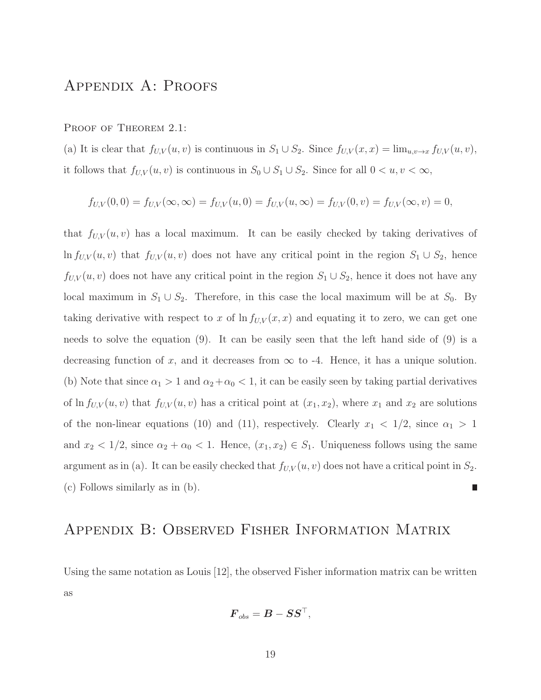## Appendix A: Proofs

#### PROOF OF THEOREM 2.1:

(a) It is clear that  $f_{U,V}(u, v)$  is continuous in  $S_1 \cup S_2$ . Since  $f_{U,V}(x, x) = \lim_{u,v \to x} f_{U,V}(u, v)$ , it follows that  $f_{U,V}(u, v)$  is continuous in  $S_0 \cup S_1 \cup S_2$ . Since for all  $0 < u, v < \infty$ ,

$$
f_{U,V}(0,0) = f_{U,V}(\infty,\infty) = f_{U,V}(u,0) = f_{U,V}(u,\infty) = f_{U,V}(0,v) = f_{U,V}(\infty,v) = 0,
$$

that  $f_{U,V}(u, v)$  has a local maximum. It can be easily checked by taking derivatives of ln  $f_{U,V}(u, v)$  that  $f_{U,V}(u, v)$  does not have any critical point in the region  $S_1 \cup S_2$ , hence  $f_{U,V}(u, v)$  does not have any critical point in the region  $S_1 \cup S_2$ , hence it does not have any local maximum in  $S_1 \cup S_2$ . Therefore, in this case the local maximum will be at  $S_0$ . By taking derivative with respect to x of  $\ln f_{U,V}(x, x)$  and equating it to zero, we can get one needs to solve the equation (9). It can be easily seen that the left hand side of (9) is a decreasing function of x, and it decreases from  $\infty$  to -4. Hence, it has a unique solution. (b) Note that since  $\alpha_1 > 1$  and  $\alpha_2 + \alpha_0 < 1$ , it can be easily seen by taking partial derivatives of ln  $f_{U,V}(u, v)$  that  $f_{U,V}(u, v)$  has a critical point at  $(x_1, x_2)$ , where  $x_1$  and  $x_2$  are solutions of the non-linear equations (10) and (11), respectively. Clearly  $x_1 < 1/2$ , since  $\alpha_1 > 1$ and  $x_2 < 1/2$ , since  $\alpha_2 + \alpha_0 < 1$ . Hence,  $(x_1, x_2) \in S_1$ . Uniqueness follows using the same argument as in (a). It can be easily checked that  $f_{U,V}(u, v)$  does not have a critical point in  $S_2$ . (c) Follows similarly as in (b).

### Appendix B: Observed Fisher Information Matrix

Using the same notation as Louis [12], the observed Fisher information matrix can be written as

$$
\boldsymbol{F}_{obs} = \boldsymbol{B} - \boldsymbol{S}\boldsymbol{S}^\top,
$$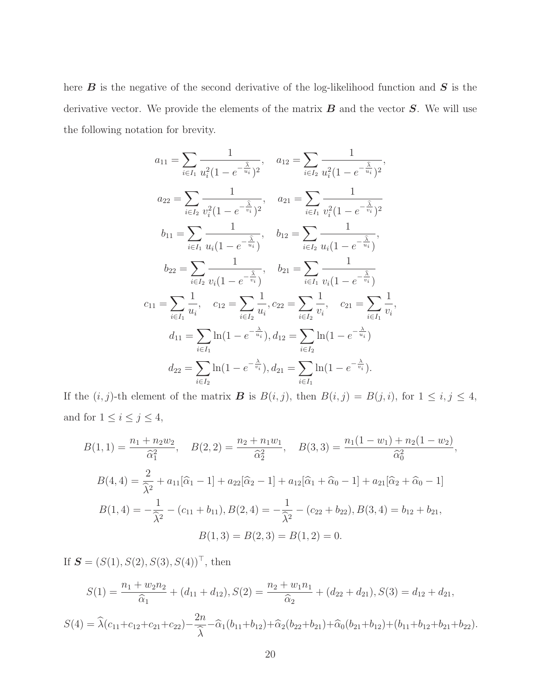here  $B$  is the negative of the second derivative of the log-likelihood function and  $S$  is the derivative vector. We provide the elements of the matrix  $B$  and the vector  $S$ . We will use the following notation for brevity.

$$
a_{11} = \sum_{i \in I_1} \frac{1}{u_i^2 (1 - e^{-\frac{\hat{\lambda}}{u_i}})^2}, \quad a_{12} = \sum_{i \in I_2} \frac{1}{u_i^2 (1 - e^{-\frac{\hat{\lambda}}{u_i}})^2},
$$
  
\n
$$
a_{22} = \sum_{i \in I_2} \frac{1}{v_i^2 (1 - e^{-\frac{\hat{\lambda}}{v_i}})^2}, \quad a_{21} = \sum_{i \in I_1} \frac{1}{v_i^2 (1 - e^{-\frac{\hat{\lambda}}{v_i}})^2}
$$
  
\n
$$
b_{11} = \sum_{i \in I_1} \frac{1}{u_i (1 - e^{-\frac{\hat{\lambda}}{u_i}})}, \quad b_{12} = \sum_{i \in I_2} \frac{1}{u_i (1 - e^{-\frac{\hat{\lambda}}{u_i}})},
$$
  
\n
$$
b_{22} = \sum_{i \in I_2} \frac{1}{v_i (1 - e^{-\frac{\hat{\lambda}}{v_i}})}, \quad b_{21} = \sum_{i \in I_1} \frac{1}{v_i (1 - e^{-\frac{\hat{\lambda}}{v_i}})}
$$
  
\n
$$
c_{11} = \sum_{i \in I_1} \frac{1}{u_i}, \quad c_{12} = \sum_{i \in I_2} \frac{1}{u_i}, c_{22} = \sum_{i \in I_2} \frac{1}{v_i}, \quad c_{21} = \sum_{i \in I_1} \frac{1}{v_i},
$$
  
\n
$$
d_{11} = \sum_{i \in I_1} \ln(1 - e^{-\frac{\hat{\lambda}}{u_i}}), d_{12} = \sum_{i \in I_2} \ln(1 - e^{-\frac{\hat{\lambda}}{u_i}})
$$
  
\n
$$
d_{22} = \sum_{i \in I_2} \ln(1 - e^{-\frac{\hat{\lambda}}{v_i}}), d_{21} = \sum_{i \in I_1} \ln(1 - e^{-\frac{\hat{\lambda}}{v_i}}).
$$

If the  $(i, j)$ -th element of the matrix **B** is  $B(i, j)$ , then  $B(i, j) = B(j, i)$ , for  $1 \le i, j \le 4$ , and for  $1 \leq i \leq j \leq 4$ ,

$$
B(1,1) = \frac{n_1 + n_2 w_2}{\hat{\alpha}_1^2}, \quad B(2,2) = \frac{n_2 + n_1 w_1}{\hat{\alpha}_2^2}, \quad B(3,3) = \frac{n_1 (1 - w_1) + n_2 (1 - w_2)}{\hat{\alpha}_0^2},
$$

$$
B(4,4) = \frac{2}{\hat{\lambda}^2} + a_{11} [\hat{\alpha}_1 - 1] + a_{22} [\hat{\alpha}_2 - 1] + a_{12} [\hat{\alpha}_1 + \hat{\alpha}_0 - 1] + a_{21} [\hat{\alpha}_2 + \hat{\alpha}_0 - 1]
$$

$$
B(1,4) = -\frac{1}{\hat{\lambda}^2} - (c_{11} + b_{11}), B(2,4) = -\frac{1}{\hat{\lambda}^2} - (c_{22} + b_{22}), B(3,4) = b_{12} + b_{21},
$$

$$
B(1,3) = B(2,3) = B(1,2) = 0.
$$

If  $S = (S(1), S(2), S(3), S(4))^T$ , then

$$
S(1) = \frac{n_1 + w_2 n_2}{\hat{\alpha}_1} + (d_{11} + d_{12}), S(2) = \frac{n_2 + w_1 n_1}{\hat{\alpha}_2} + (d_{22} + d_{21}), S(3) = d_{12} + d_{21},
$$
  

$$
S(4) = \hat{\lambda}(c_{11} + c_{12} + c_{21} + c_{22}) - \frac{2n}{\hat{\lambda}} - \hat{\alpha}_1(b_{11} + b_{12}) + \hat{\alpha}_2(b_{22} + b_{21}) + \hat{\alpha}_0(b_{21} + b_{12}) + (b_{11} + b_{12} + b_{21} + b_{22}).
$$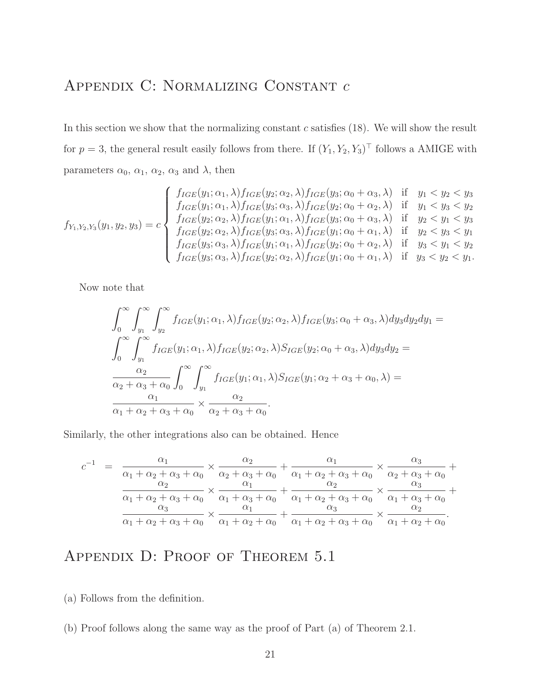## Appendix C: Normalizing Constant c

In this section we show that the normalizing constant  $c$  satisfies  $(18)$ . We will show the result for  $p = 3$ , the general result easily follows from there. If  $(Y_1, Y_2, Y_3)^{\top}$  follows a AMIGE with parameters  $\alpha_0$ ,  $\alpha_1$ ,  $\alpha_2$ ,  $\alpha_3$  and  $\lambda$ , then

$$
f_{Y_1,Y_2,Y_3}(y_1,y_2,y_3) = c \begin{cases} f_{IGE}(y_1;\alpha_1,\lambda) f_{IGE}(y_2;\alpha_2,\lambda) f_{IGE}(y_3;\alpha_0+\alpha_3,\lambda) & \text{if } y_1 < y_2 < y_3 \\ f_{IGE}(y_1;\alpha_1,\lambda) f_{IGE}(y_3;\alpha_3,\lambda) f_{IGE}(y_2;\alpha_0+\alpha_2,\lambda) & \text{if } y_1 < y_3 < y_2 \\ f_{IGE}(y_2;\alpha_2,\lambda) f_{IGE}(y_1;\alpha_1,\lambda) f_{IGE}(y_3;\alpha_0+\alpha_3,\lambda) & \text{if } y_2 < y_1 < y_3 \\ f_{IGE}(y_2;\alpha_2,\lambda) f_{IGE}(y_3;\alpha_3,\lambda) f_{IGE}(y_1;\alpha_0+\alpha_1,\lambda) & \text{if } y_2 < y_3 < y_1 \\ f_{IGE}(y_3;\alpha_3,\lambda) f_{IGE}(y_1;\alpha_1,\lambda) f_{IGE}(y_2;\alpha_0+\alpha_2,\lambda) & \text{if } y_3 < y_1 < y_2 \\ f_{IGE}(y_3;\alpha_3,\lambda) f_{IGE}(y_2;\alpha_2,\lambda) f_{IGE}(y_1;\alpha_0+\alpha_1,\lambda) & \text{if } y_3 < y_2 < y_1. \end{cases}
$$

Now note that

$$
\int_0^\infty \int_{y_1}^\infty \int_{y_2}^\infty f_{IGE}(y_1; \alpha_1, \lambda) f_{IGE}(y_2; \alpha_2, \lambda) f_{IGE}(y_3; \alpha_0 + \alpha_3, \lambda) dy_3 dy_2 dy_1 =
$$
\n
$$
\int_0^\infty \int_{y_1}^\infty f_{IGE}(y_1; \alpha_1, \lambda) f_{IGE}(y_2; \alpha_2, \lambda) S_{IGE}(y_2; \alpha_0 + \alpha_3, \lambda) dy_3 dy_2 =
$$
\n
$$
\frac{\alpha_2}{\alpha_2 + \alpha_3 + \alpha_0} \int_0^\infty \int_{y_1}^\infty f_{IGE}(y_1; \alpha_1, \lambda) S_{IGE}(y_1; \alpha_2 + \alpha_3 + \alpha_0, \lambda) =
$$
\n
$$
\frac{\alpha_1}{\alpha_1 + \alpha_2 + \alpha_3 + \alpha_0} \times \frac{\alpha_2}{\alpha_2 + \alpha_3 + \alpha_0}.
$$

Similarly, the other integrations also can be obtained. Hence

$$
c^{-1} = \frac{\alpha_1}{\alpha_1 + \alpha_2 + \alpha_3 + \alpha_0} \times \frac{\alpha_2}{\alpha_2 + \alpha_3 + \alpha_0} + \frac{\alpha_1}{\alpha_1 + \alpha_2 + \alpha_3 + \alpha_0} \times \frac{\alpha_3}{\alpha_2 + \alpha_3 + \alpha_0} + \frac{\alpha_2}{\alpha_2 + \alpha_3 + \alpha_0} \times \frac{\alpha_1}{\alpha_1 + \alpha_2 + \alpha_3 + \alpha_0} \times \frac{\alpha_2}{\alpha_1 + \alpha_2 + \alpha_3 + \alpha_0} + \frac{\alpha_2}{\alpha_1 + \alpha_2 + \alpha_3 + \alpha_0} \times \frac{\alpha_3}{\alpha_1 + \alpha_2 + \alpha_3 + \alpha_0} + \frac{\alpha_3}{\alpha_1 + \alpha_2 + \alpha_3 + \alpha_0} \times \frac{\alpha_2}{\alpha_1 + \alpha_2 + \alpha_0}.
$$

## APPENDIX D: PROOF OF THEOREM 5.1

- (a) Follows from the definition.
- (b) Proof follows along the same way as the proof of Part (a) of Theorem 2.1.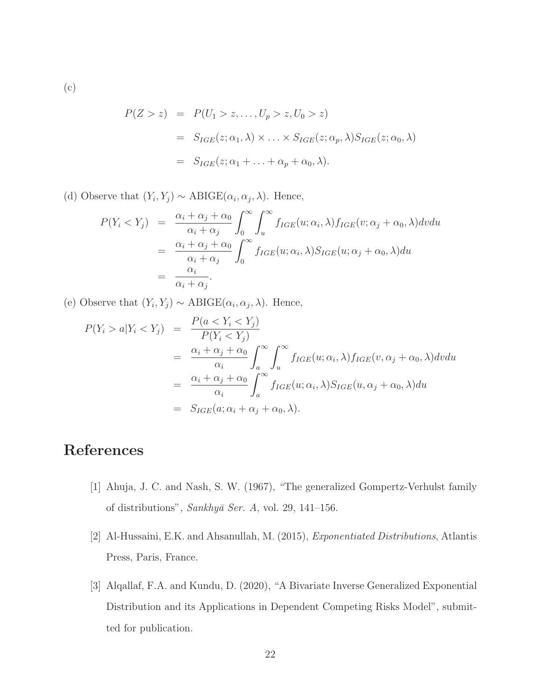(c)

$$
P(Z > z) = P(U_1 > z, ..., U_p > z, U_0 > z)
$$
  
= 
$$
S_{IGE}(z; \alpha_1, \lambda) \times ... \times S_{IGE}(z; \alpha_p, \lambda) S_{IGE}(z; \alpha_0, \lambda)
$$
  
= 
$$
S_{IGE}(z; \alpha_1 + ... + \alpha_p + \alpha_0, \lambda).
$$

(d) Observe that  $(Y_i, Y_j) \sim \text{ABIGE}(\alpha_i, \alpha_j, \lambda)$ . Hence,

$$
P(Y_i < Y_j) = \frac{\alpha_i + \alpha_j + \alpha_0}{\alpha_i + \alpha_j} \int_0^\infty \int_u^\infty f_{IGE}(u; \alpha_i, \lambda) f_{IGE}(v; \alpha_j + \alpha_0, \lambda) dv du
$$
\n
$$
= \frac{\alpha_i + \alpha_j + \alpha_0}{\alpha_i + \alpha_j} \int_0^\infty f_{IGE}(u; \alpha_i, \lambda) S_{IGE}(u; \alpha_j + \alpha_0, \lambda) du
$$
\n
$$
= \frac{\alpha_i}{\alpha_i + \alpha_j}.
$$

(e) Observe that  $(Y_i, Y_j) \sim \text{ABIGE}(\alpha_i, \alpha_j, \lambda)$ . Hence,

$$
P(Y_i > a | Y_i < Y_j) = \frac{P(a < Y_i < Y_j)}{P(Y_i < Y_j)} \\
= \frac{\alpha_i + \alpha_j + \alpha_0}{\alpha_i} \int_a^\infty \int_u^\infty f_{IGE}(u; \alpha_i, \lambda) f_{IGE}(v, \alpha_j + \alpha_0, \lambda) dv du \\
= \frac{\alpha_i + \alpha_j + \alpha_0}{\alpha_i} \int_a^\infty f_{IGE}(u; \alpha_i, \lambda) S_{IGE}(u, \alpha_j + \alpha_0, \lambda) du \\
= S_{IGE}(a; \alpha_i + \alpha_j + \alpha_0, \lambda).
$$

## References

- [1] Ahuja, J. C. and Nash, S. W. (1967), "The generalized Gompertz-Verhulst family of distributions",  $Sankhy\bar{a}$  Ser. A, vol. 29, 141–156.
- [2] Al-Hussaini, E.K. and Ahsanullah, M. (2015), Exponentiated Distributions, Atlantis Press, Paris, France.
- [3] Alqallaf, F.A. and Kundu, D. (2020), "A Bivariate Inverse Generalized Exponential Distribution and its Applications in Dependent Competing Risks Model", submitted for publication.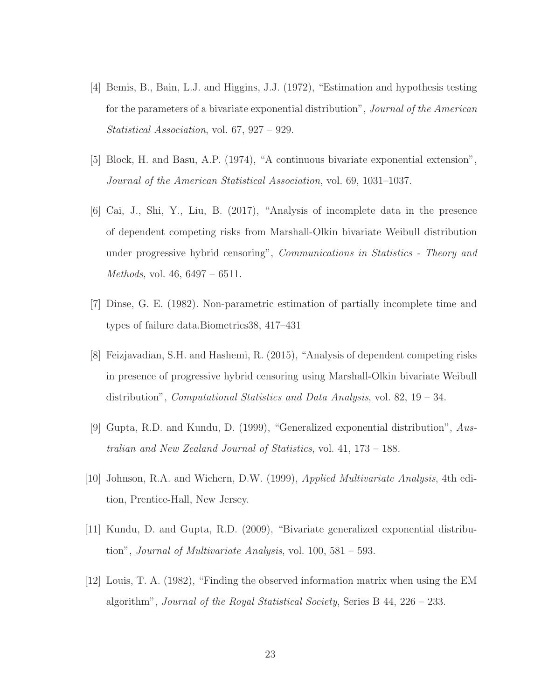- [4] Bemis, B., Bain, L.J. and Higgins, J.J. (1972), "Estimation and hypothesis testing for the parameters of a bivariate exponential distribution", Journal of the American Statistical Association, vol. 67, 927 – 929.
- [5] Block, H. and Basu, A.P. (1974), "A continuous bivariate exponential extension", Journal of the American Statistical Association, vol. 69, 1031–1037.
- [6] Cai, J., Shi, Y., Liu, B. (2017), "Analysis of incomplete data in the presence of dependent competing risks from Marshall-Olkin bivariate Weibull distribution under progressive hybrid censoring", Communications in Statistics - Theory and Methods, vol. 46, 6497 – 6511.
- [7] Dinse, G. E. (1982). Non-parametric estimation of partially incomplete time and types of failure data.Biometrics38, 417–431
- [8] Feizjavadian, S.H. and Hashemi, R. (2015), "Analysis of dependent competing risks in presence of progressive hybrid censoring using Marshall-Olkin bivariate Weibull distribution", *Computational Statistics and Data Analysis*, vol. 82, 19 – 34.
- [9] Gupta, R.D. and Kundu, D. (1999), "Generalized exponential distribution", Australian and New Zealand Journal of Statistics, vol. 41, 173 – 188.
- [10] Johnson, R.A. and Wichern, D.W. (1999), Applied Multivariate Analysis, 4th edition, Prentice-Hall, New Jersey.
- [11] Kundu, D. and Gupta, R.D. (2009), "Bivariate generalized exponential distribution", Journal of Multivariate Analysis, vol.  $100, 581 - 593$ .
- [12] Louis, T. A. (1982), "Finding the observed information matrix when using the EM algorithm", Journal of the Royal Statistical Society, Series B  $44, 226 - 233$ .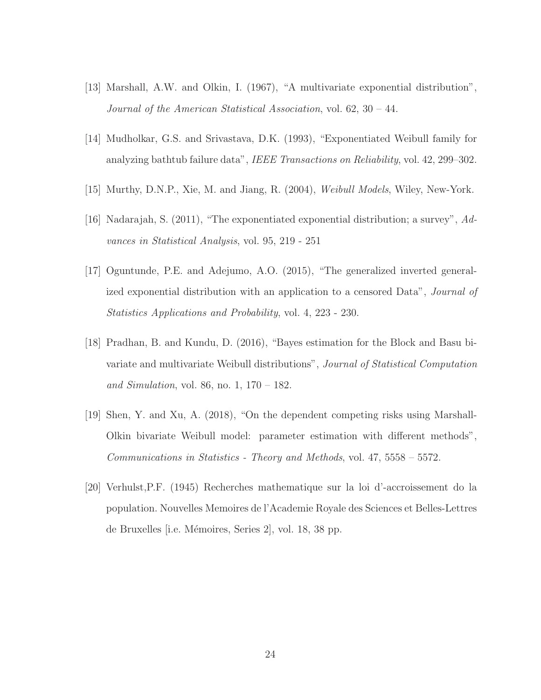- [13] Marshall, A.W. and Olkin, I. (1967), "A multivariate exponential distribution", Journal of the American Statistical Association, vol. 62, 30 – 44.
- [14] Mudholkar, G.S. and Srivastava, D.K. (1993), "Exponentiated Weibull family for analyzing bathtub failure data", IEEE Transactions on Reliability, vol. 42, 299–302.
- [15] Murthy, D.N.P., Xie, M. and Jiang, R. (2004), Weibull Models, Wiley, New-York.
- [16] Nadarajah, S. (2011), "The exponentiated exponential distribution; a survey", Advances in Statistical Analysis, vol. 95, 219 - 251
- [17] Oguntunde, P.E. and Adejumo, A.O. (2015), "The generalized inverted generalized exponential distribution with an application to a censored Data", Journal of Statistics Applications and Probability, vol. 4, 223 - 230.
- [18] Pradhan, B. and Kundu, D. (2016), "Bayes estimation for the Block and Basu bivariate and multivariate Weibull distributions", Journal of Statistical Computation and Simulation, vol. 86, no. 1,  $170 - 182$ .
- [19] Shen, Y. and Xu, A. (2018), "On the dependent competing risks using Marshall-Olkin bivariate Weibull model: parameter estimation with different methods", Communications in Statistics - Theory and Methods, vol. 47, 5558 – 5572.
- [20] Verhulst,P.F. (1945) Recherches mathematique sur la loi d'-accroissement do la population. Nouvelles Memoires de l'Academie Royale des Sciences et Belles-Lettres de Bruxelles [i.e. Mémoires, Series 2], vol. 18, 38 pp.